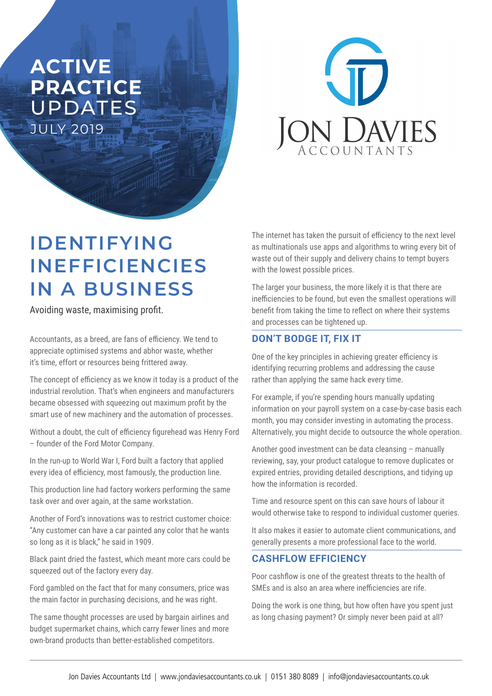## **ACTIVE PRACTICE**  UPDATES JULY 2019



# **IDENTIFYING INEFFICIENCIES IN A BUSINESS**

Avoiding waste, maximising profit.

Accountants, as a breed, are fans of efficiency. We tend to appreciate optimised systems and abhor waste, whether it's time, effort or resources being frittered away.

The concept of efficiency as we know it today is a product of the industrial revolution. That's when engineers and manufacturers became obsessed with squeezing out maximum profit by the smart use of new machinery and the automation of processes.

Without a doubt, the cult of efficiency figurehead was Henry Ford – founder of the Ford Motor Company.

In the run-up to World War I, Ford built a factory that applied every idea of efficiency, most famously, the production line.

This production line had factory workers performing the same task over and over again, at the same workstation.

Another of Ford's innovations was to restrict customer choice: "Any customer can have a car painted any color that he wants so long as it is black," he said in 1909.

Black paint dried the fastest, which meant more cars could be squeezed out of the factory every day.

Ford gambled on the fact that for many consumers, price was the main factor in purchasing decisions, and he was right.

The same thought processes are used by bargain airlines and budget supermarket chains, which carry fewer lines and more own-brand products than better-established competitors.

The internet has taken the pursuit of efficiency to the next level as multinationals use apps and algorithms to wring every bit of waste out of their supply and delivery chains to tempt buyers with the lowest possible prices.

The larger your business, the more likely it is that there are inefficiencies to be found, but even the smallest operations will benefit from taking the time to reflect on where their systems and processes can be tightened up.

### **DON'T BODGE IT, FIX IT**

One of the key principles in achieving greater efficiency is identifying recurring problems and addressing the cause rather than applying the same hack every time.

For example, if you're spending hours manually updating information on your payroll system on a case-by-case basis each month, you may consider investing in automating the process. Alternatively, you might decide to outsource the whole operation.

Another good investment can be data cleansing – manually reviewing, say, your product catalogue to remove duplicates or expired entries, providing detailed descriptions, and tidying up how the information is recorded.

Time and resource spent on this can save hours of labour it would otherwise take to respond to individual customer queries.

It also makes it easier to automate client communications, and generally presents a more professional face to the world.

#### **CASHFLOW EFFICIENCY**

Poor cashflow is one of the greatest threats to the health of SMEs and is also an area where inefficiencies are rife.

Doing the work is one thing, but how often have you spent just as long chasing payment? Or simply never been paid at all?